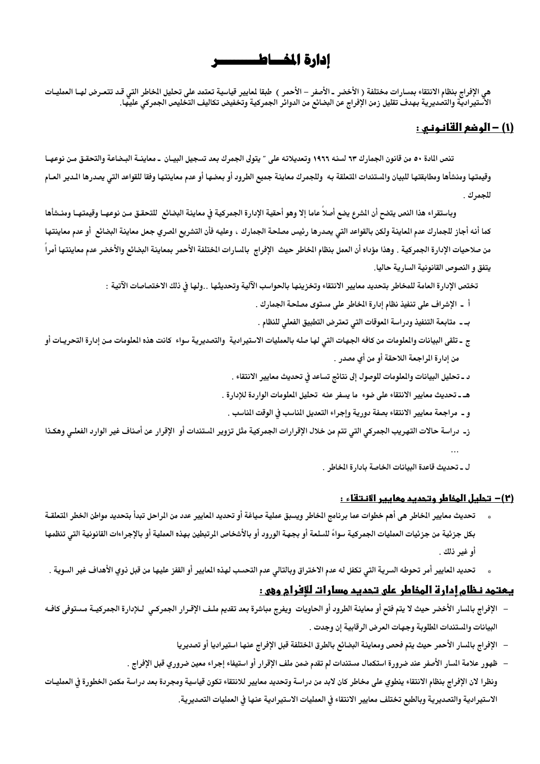# إدارة المفساط ــــــو

هي الإفراج بنظام الانتقاء بمسارات مختلفة ( الأخضر ـ الأصفر – الأحمر ) طبقا لمايير قياسية تعتمد على تحليل الخاطر التي قـد تتعـرض لهــا العمليـات<br>الاستيرادية والتصديرية بهدف تقليل زمن الإفراج عن البضائع من الدوائر الجمركية

# <u>(1) - الوضع القانـونـي :</u>

تنص المادة ٥٠ من قانون الجمارك ٦٣ لسنه ١٩٦٦ وتعديلاته على " يتولى الجمرك بعد تسجيل البيـان \_ معاينــة البـضاعة والتحقـق مـن نوعهـا وقيمتها ومنشأها ومطابقتها للبيان والستندات التعلقة به وللجمرك معاينة جميع الطرود أو بعضها أو عدم معاينتها وفقا للقواعد التى يصدرها المدير العـام للجمرك .

وباستقراء هذا النص يتضح أن الشرع يضع أصلاً عاما إلا وهو أحقية الإدارة الجمركية في معاينة البضائع للتحقـق مـن نوعهـا وقيمتهـا ومنـشأها كما أنه أجاز للجمارك عدم المعاينة ولكن بالقواعد التى يصدرها رئيس مصلحة الجمارك ، وعليه فأن التشريع الصري جعل معاينة البضائع أو عدم معاينتها من صلاحيات الإدارة الجمركية . وهذا مؤداه أن العمل بنظام الخاطر حيث الإفراج بالسارات الختلفة الأحمر بمعاينة البضائع والأخضر عدم معاينتها أمراً يتفق و النصوص القانونية السارية حاليا.

تختص الإدارة العامة للمخاطر بتحديد معايير الانتقاء وتخزينها بالحواسب الآلية وتحديثها . .ولها في ذلك الاختصاصات الآتية :

- أ \_ الإشراف على تنفيذ نظام إدارة الخاطر على مستوى مصلحة الجمارك .
- بـ ـ متابعة التنفيذ ودراسة الموقات التي تعترض التطبيق الفعلى للنظام .
- ج ـ تلقى البيانات والعلومات من كافه الجهات التى لها صله بالعمليات الاستيرادية والتصديرية سواء كانت هذه العلومات مـن إدارة التحريـات أو من إدارة المراجعة اللاحقة أو من أي مصدر .
	- د ـ تحليل البيانات والملومات للوصول إلى نتائج تساعد فى تحديث معايير الانتقاء .
	- هـ ـ تحديث معايير الانتقاء على ضوء ما يسفر عنه تحليل الملومات الواردة للإدارة .
		- و ــ مراجعة معايير الانتقاء بصفة دورية وإجراء التعديل الماسب في الوقت الماسب .
- ز- دراسة حالات التهريب الجمركي التي تتم من خلال الإقرارات الجمركية مثل تزوير الستندات أو الإقرار عن أصناف غير الوارد الفعلـي وهكـذا

ل ـ تحديث قاعدة البيانات الخاصة بادارة الخاطر .

#### (٢)– تحليل المخاطر وتحديد معايير الانتقاء :

- تحديث معايير الخاطر هي أهم خطوات عما برنامج الخاطر ويسبق عملية صياغة أو تحديد العايير عدد من الراحل تبدأ بتحديد مواطن الخطر التعلقـة بكل جزئية من جزئيات العمليات الجمركية سواءً للسلعة أو بجهة الورود أو بالأشخاص الرتبطين بهذه العملية أو بالإجراءات القانونية التي تنظمها أو غير ذلك .
- تحديد المايير أمر تحوطه السرية التي تكفل له عدم الاختراق وبالتالي عدم التحسب لهذه المايير أو القفز عليها من قبل ذوي الأهداف غير السوية .

## <u>يـمتمد نـظام إدارة المخاطر على تـحديد مسارات للإفرام وهي :</u>

- الإفراج بالسار الأخضر حيث لا يتم فتح أو معاينة الطرود أو الحاويات ويفرج مباشرة بعد تقديم ملـف الإقـرار الجمركـي لـلإدارة الجمركيــة مـستوفى كافــه البيانات والمستندات الطلوبة وجهات العرض الرقابية إن وجدت .
	- الإفراج بالسار الأحمر حيث يتم فحص ومعاينة البضائع بالطرق الختلفة قبل الإفراج عنها استيراديا أو تصديريا
- ظهور علامة المسار الأصفر عند ضرورة استكمال مستندات لم تقدم ضمن ملف الإقرار أو استيفاء إجراء معين ضرورى قبل الإفراج . ونظرا لان الإفراج بنظام الانتقاء ينطوي على مخاطر كان لابد من دراسة وتحديد معايير للانتقاء تكون قياسية ومجردة بعد دراسة مكمن الخطورة فى العمليـات الاستيرادية والتصديرية وبالطبع تختلف معايير الانتقاء في العمليات الاستيرادية عنها في العمليات التصديرية.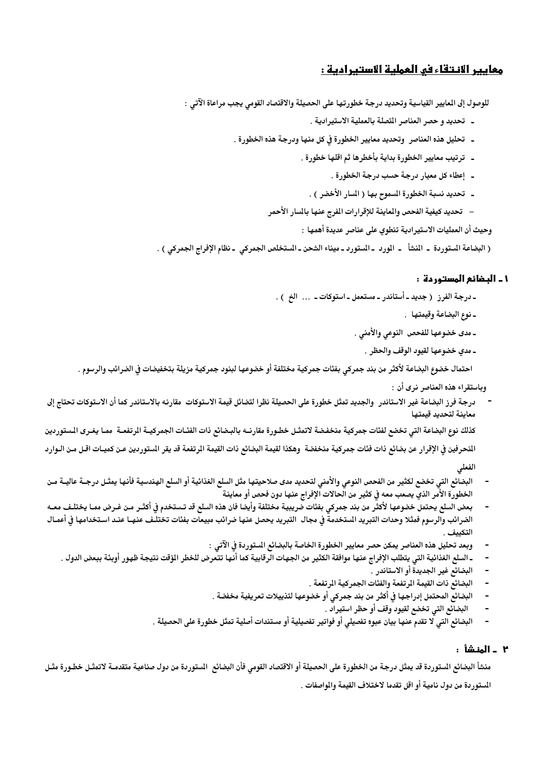# <u>معايير الانتقاء في العملية الاستيرادية :</u>

للوصول إلى المايير القياسية وتحديد درجة خطورتها على الحصيلة والاقتصاد القومي يجب مراعاة الآتي :

- ـ تحديد و حصر العناصر المتصلة بالعملية الاستيرادية .
- ـ تحليل هذه العناصر وتحديد معايير الخطورة في كل منها ودرجة هذه الخطورة .
	- ـ ترتيب معايير الخطورة بداية بأخطرها ثم اقلها خطورة .
		- ـ إعطاء كل معيار درجة حسب درجة الخطورة .
		- ـ تحديد نسبة الخطورة المسوح بها ( المسار الأخضر ) .
	- تحديد كيفية الفحص والمعاينة للإقرارات الفرج عنها بالسار الأحمر

وحيث أن العمليات الاستيرادية تنطوي على عناصر عديدة أهمها :

( البضاعة المستوردة - المنشأ - المورد -المستورد ـ ميناء الشحن ـ المستخلص الجمركي ـ نظام الإفراج الجمركي ) .

#### 1 ـ البضائع المستوردة :

- درجة الفرز ( جديد أستاندر مستعمل استوكات ... الخ ) .
	- ـ نوع البضاعة وقيمتها .
	- ـ مدى خضوعها للفحص النوعي والأمني .
		- ـ مدي خضوعها لقيود الوقف والحظر .

احتمال خضوع البضاعة لأكثر من بند جمركى بفئات جمركية مختلفة أو خضوعها لبنود جمركية مزيلة بتخفيضات في الضرائب والرسوم .

وباستقراء هذه العناصر نرى أن :

درجة فرز البضاعة غير الاستاندر ۖ والجديد تمثل خطورة على الحصيلة نظرا لتضائل قيمة الاستوكات ۖ مقارنه بالاستاندر كما أن الاستوكات تحتاج إلى معاينة لتحديد قيمتها

كذلك نوع البضاعة التي تخضع لفئات جمركية منخفضة لاتمثـل خطـورة مقارنــه بالبـضائع ذات الفئـات الجمركيــة الرتفعــة ممـا يغـرى الـستوردين المنحرفين في الإقرار عن بضائع ذات فئات جمركية منخفضة وهكذا لقيمة البضائع ذات القيمة المرتفعة قد يقر الستوردين عـن كميـات اقـل مـن الـوارد

الفعلى

- البضائع التي تخضع لكثير من الفحص النوعي والأمنى لتحديد مدى صلاحيتها مثل السلع الغذائية أو السلع الهندسية فأنها يمثـل درجـة عاليــة مـن الخطورة الأمر الذي يصعب معه في كثير من الحالات الإفراج عنها دون فحص أو معاينة
- بعض السلع يحتمل خضوعها لأكثر من بند جمركي بفئات ضريبية مختلفة وأيضا فان هذه السلع قد تـستخدم فى أكثـر مـن غـرض ممـا يختلـف معـه الضرائب والرسوم فمثلا وحدات التبريد الستخدمة فى مجال التبريد يحصل عنها ضرائب مبيعات بفئات تختلف عنهـا عنـد اسـتخدامها فى أعمـال التكىف
	- وبعد تحليل هذه العناصر يمكن حصر معايير الخطورة الخاصة بالبضائع المستوردة في الآتي :
	- ـ السلع الغذائية التي يتطلب الإفراج عنها موافقة الكثير من الجهات الرقابية كما أنها تتعرض للخطر الؤقت نتيجة ظهور أوبئة ببعض الدول .
		- البضائع غير الجديدة أو الاستاندر .
		- البضائع ذات القيمة المرتفعة والفئات الجمر كية المرتفعة .
		- البضائع المحتمل إدراجها في أكثر من بند جمركي أو خضوعها لتذييلات تعريفية مخفضة .
			- البضائع التي تخضع لقيود وقف أو حظر استيراد .
		- البضائع التي لا تقدم عنها بيان عبوه تفصيلي أو فواتير تفصيلية أو مستندات أصلية تمثل خطورة على الحصيلة .

### ٢ ـ المنشأ :

منشأ البضائع الستوردة قد يمثل درجة من الخطورة على الحصيلة أو الاقتصاد القومى فأن البضائع الستوردة من دول صناعية متقدمـة لاتمثـل خطـورة مثـل المستوردة من دول نامية أو اقل تقدما لاختلاف القيمة والمواصفات .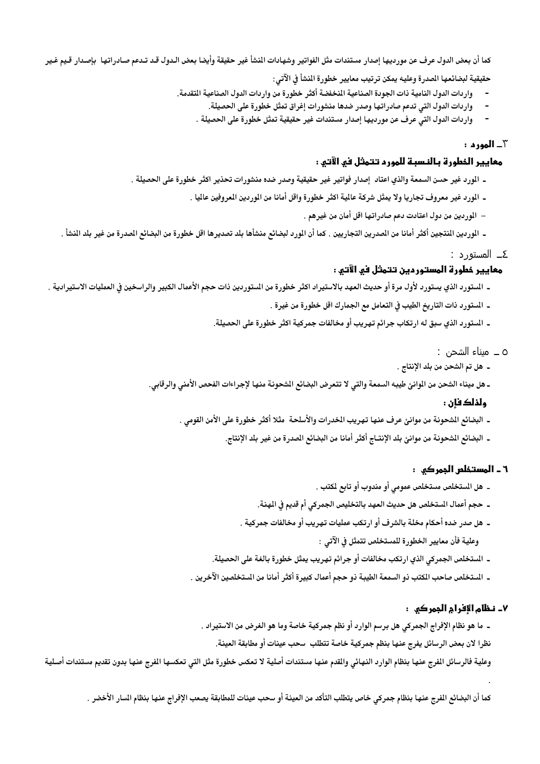كما أن بعض الدول عرف عن مورديها إصدار مستندات مثل الفواتير وشهادات المنشأ غير حقيقة وأيضا بعض الـدول قـد تـدعم صـادراتها بإصـدار قـيم غـير

حقيقية لبضائعها الصدرة وعليه يمكن ترتيب معايير خطورة النشأ فى الآتى:

- واردات الدول النامية ذات الجودة الصناعية المنخفضة أكثر خطورة من واردات الدول الصناعية المتقدمة.
	- واردات الدول التي تدعم صادراتها وصدر ضدها منشورات إغراق تمثل خطورة على الحصيلة.
	- واردات الدول التي عرف عن مورديها إصدار مستندات غير حقيقية تمثل خطورة على الحصيلة .

#### ~\_ **المورد :**

## معايير الفطورة بالنسبة للمورد تتمثل فو الآتو :

- ـ المورد غير حسن السمعة والذي اعتاد إصدار فواتير غير حقيقية وصدر ضده منشورات تحذير اكثر خطورة على الحصيلة .
	- ـ المورد غير معروف تجاريا ولا يمثل شركة عالية اكثر خطورة واقل أمانا من الموردين المعروفين عاليا .
		- الموردين من دول اعتادت دعم صادراتها اقل أمان من غيرهم .
- ـ الوردين النتجين أكثر أمانا من الصدرين التجاريين . كما أن الورد لبضائع منشأها بلد تصديرها اقل خطورة من البضائع الصدرة من غير بلد النشأ .
	- ٤\_ المستورد :

# معايير خطورة المستوردين تتمثل في الآتي :

- ـ الستورد الذي يستورد لأول مرة أو حديث العهد بالاستيراد اكثر خطورة من الستوردين ذات حجم الأعمال الكبير والراسخين فى العمليات الاستيرادية .
	- ـ المستورد ذات التاريخ الطيب في التعامل مع الجمارك اقل خطورة من غيرة .
	- ـ المستورد الذي سبق له ارتكاب جرائم تهريب أو مخالفات جمركية اكثر خطورة على الحصيلة.

#### ٥ ــ ميناء الشحن :

- ـ هل تم الشحن من بلد الإنتاج .
- ـ. هل ميناء الشحن من الموانئ طيبه السمعة والتى لا تتعرض البضائع الشحونة منها لإجراءات الفحص الأمني والرقابي.

## ولذلك فان :

- ـ البضائع الشحونة من موانئ عرف عنها تهريب الخدرات والأسلحة مثلا أكثر خطورة على الأمن القومي .
	- ـ البضائع الشحونة من موانئ بلد الإنتــاج أكثر أمانا من البضائع الصدرة من غير بلد الإنتاج.

## ٦ ـ المستخلص الجمر کې :

- \_ هل المستخلص مستخلص عمومى أو مندوب أو تابع لمكتب .
- ـ حجم أعمال المستخلص هل حديث العهد بالتخليص الجمركي أم قديم في الهنة.
- ـ. هل صدر ضده أحكام مخلة بالشرف أو ارتكب عمليات تهريب أو مخالفات جمركية . وعلية فأن معايير الخطورة للمستخلص تتمثل في الآتي :
- ـ الستخلص الجمركي الذي ارتكب مخالفات أو جرائم تهريب يمثل خطورة بالغة على الحصيلة.
- ـ المستخلص صاحب المكتب ذو السمعة الطيبة ذو حجم أعمال كبيرة أكثر أمانا من المستخلصين الآخرين .

## ٧\_ نظام الإفرام الجمركي ١

ـ. ما هو نظام الإفراج الجمركي هل برسم الوارد أو نظم جمركية خاصة وما هو الغرض من الاستيراد .

نظرا لان بعض الرسائل يفرج عنها بنظم جمركية خاصة تتطلب سحب عينات أو مطابقة العينة.

وعلية فالرسائل الفرج عنها بنظام الوارد النهائى والقدم عنها مستندات أصلية لا تعكس خطورة مثل التى تعكسها الفرج عنها بدون تقديم مستندات أصلية

كما أن البضائع الفرج عنها بنظام جمركي خاص يتطلب التأكد من العينة أو سحب عينات للمطابقة يصعب الإفراج عنها بنظام السار الأخضر .